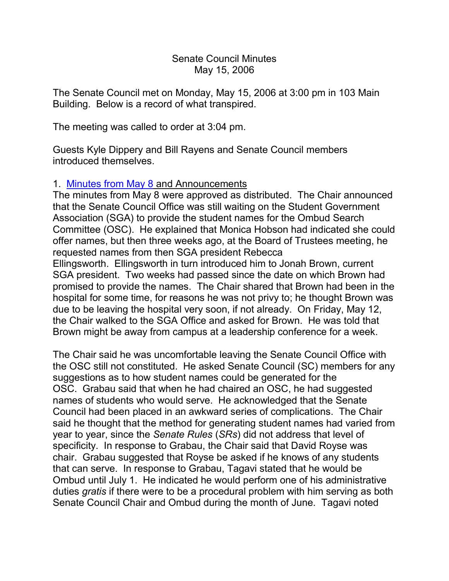### Senate Council Minutes May 15, 2006

The Senate Council met on Monday, May 15, 2006 at 3:00 pm in 103 Main Building. Below is a record of what transpired.

The meeting was called to order at 3:04 pm.

Guests Kyle Dippery and Bill Rayens and Senate Council members introduced themselves.

# 1. [Minutes from May 8](http://www.uky.edu/USC/New/SCMinutes/2005-2006/SC%20Minutes%20May%208%202006%20FINAL.htm) and Announcements

The minutes from May 8 were approved as distributed. The Chair announced that the Senate Council Office was still waiting on the Student Government Association (SGA) to provide the student names for the Ombud Search Committee (OSC). He explained that Monica Hobson had indicated she could offer names, but then three weeks ago, at the Board of Trustees meeting, he requested names from then SGA president Rebecca Ellingsworth. Ellingsworth in turn introduced him to Jonah Brown, current SGA president. Two weeks had passed since the date on which Brown had promised to provide the names. The Chair shared that Brown had been in the hospital for some time, for reasons he was not privy to; he thought Brown was due to be leaving the hospital very soon, if not already. On Friday, May 12, the Chair walked to the SGA Office and asked for Brown. He was told that

Brown might be away from campus at a leadership conference for a week.

The Chair said he was uncomfortable leaving the Senate Council Office with the OSC still not constituted. He asked Senate Council (SC) members for any suggestions as to how student names could be generated for the OSC. Grabau said that when he had chaired an OSC, he had suggested names of students who would serve. He acknowledged that the Senate Council had been placed in an awkward series of complications. The Chair said he thought that the method for generating student names had varied from year to year, since the *Senate Rules* (*SRs*) did not address that level of specificity. In response to Grabau, the Chair said that David Royse was chair. Grabau suggested that Royse be asked if he knows of any students that can serve. In response to Grabau, Tagavi stated that he would be Ombud until July 1. He indicated he would perform one of his administrative duties *gratis* if there were to be a procedural problem with him serving as both Senate Council Chair and Ombud during the month of June. Tagavi noted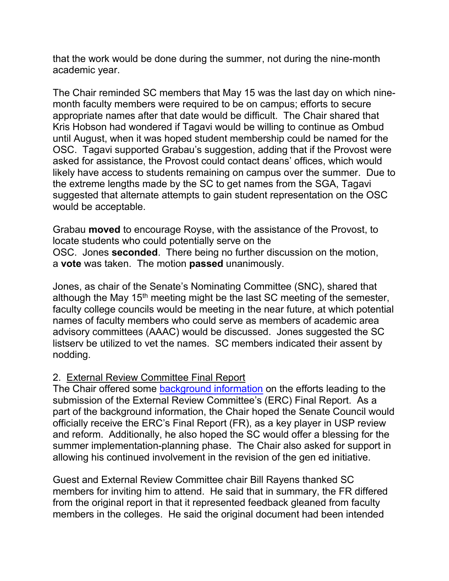that the work would be done during the summer, not during the nine-month academic year.

The Chair reminded SC members that May 15 was the last day on which ninemonth faculty members were required to be on campus; efforts to secure appropriate names after that date would be difficult. The Chair shared that Kris Hobson had wondered if Tagavi would be willing to continue as Ombud until August, when it was hoped student membership could be named for the OSC. Tagavi supported Grabau's suggestion, adding that if the Provost were asked for assistance, the Provost could contact deans' offices, which would likely have access to students remaining on campus over the summer. Due to the extreme lengths made by the SC to get names from the SGA, Tagavi suggested that alternate attempts to gain student representation on the OSC would be acceptable.

Grabau **moved** to encourage Royse, with the assistance of the Provost, to locate students who could potentially serve on the OSC. Jones **seconded**. There being no further discussion on the motion, a **vote** was taken. The motion **passed** unanimously.

Jones, as chair of the Senate's Nominating Committee (SNC), shared that although the May  $15<sup>th</sup>$  meeting might be the last SC meeting of the semester, faculty college councils would be meeting in the near future, at which potential names of faculty members who could serve as members of academic area advisory committees (AAAC) would be discussed. Jones suggested the SC listserv be utilized to vet the names. SC members indicated their assent by nodding.

# 2. External Review Committee Final Report

The Chair offered some [background information](http://www.uky.edu/USC/New/SCAgendas/20060515/USP%20Overview--May%2015%202006.pdf) on the efforts leading to the submission of the External Review Committee's (ERC) Final Report. As a part of the background information, the Chair hoped the Senate Council would officially receive the ERC's Final Report (FR), as a key player in USP review and reform. Additionally, he also hoped the SC would offer a blessing for the summer implementation-planning phase. The Chair also asked for support in allowing his continued involvement in the revision of the gen ed initiative.

Guest and External Review Committee chair Bill Rayens thanked SC members for inviting him to attend. He said that in summary, the FR differed from the original report in that it represented feedback gleaned from faculty members in the colleges. He said the original document had been intended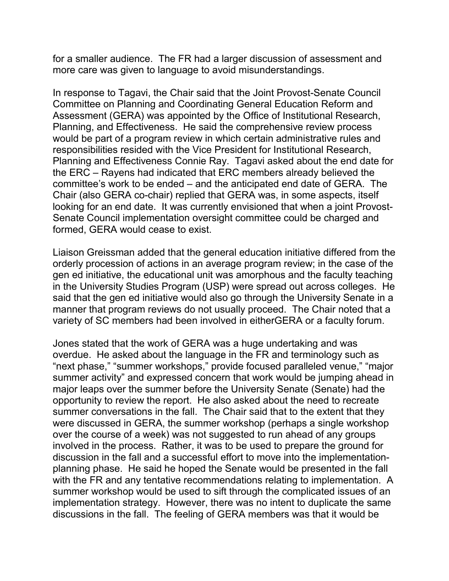for a smaller audience. The FR had a larger discussion of assessment and more care was given to language to avoid misunderstandings.

In response to Tagavi, the Chair said that the Joint Provost-Senate Council Committee on Planning and Coordinating General Education Reform and Assessment (GERA) was appointed by the Office of Institutional Research, Planning, and Effectiveness. He said the comprehensive review process would be part of a program review in which certain administrative rules and responsibilities resided with the Vice President for Institutional Research, Planning and Effectiveness Connie Ray. Tagavi asked about the end date for the ERC – Rayens had indicated that ERC members already believed the committee's work to be ended – and the anticipated end date of GERA. The Chair (also GERA co-chair) replied that GERA was, in some aspects, itself looking for an end date. It was currently envisioned that when a joint Provost-Senate Council implementation oversight committee could be charged and formed, GERA would cease to exist.

Liaison Greissman added that the general education initiative differed from the orderly procession of actions in an average program review; in the case of the gen ed initiative, the educational unit was amorphous and the faculty teaching in the University Studies Program (USP) were spread out across colleges. He said that the gen ed initiative would also go through the University Senate in a manner that program reviews do not usually proceed. The Chair noted that a variety of SC members had been involved in eitherGERA or a faculty forum.

Jones stated that the work of GERA was a huge undertaking and was overdue. He asked about the language in the FR and terminology such as "next phase," "summer workshops," provide focused paralleled venue," "major summer activity" and expressed concern that work would be jumping ahead in major leaps over the summer before the University Senate (Senate) had the opportunity to review the report. He also asked about the need to recreate summer conversations in the fall. The Chair said that to the extent that they were discussed in GERA, the summer workshop (perhaps a single workshop over the course of a week) was not suggested to run ahead of any groups involved in the process. Rather, it was to be used to prepare the ground for discussion in the fall and a successful effort to move into the implementationplanning phase. He said he hoped the Senate would be presented in the fall with the FR and any tentative recommendations relating to implementation. A summer workshop would be used to sift through the complicated issues of an implementation strategy. However, there was no intent to duplicate the same discussions in the fall. The feeling of GERA members was that it would be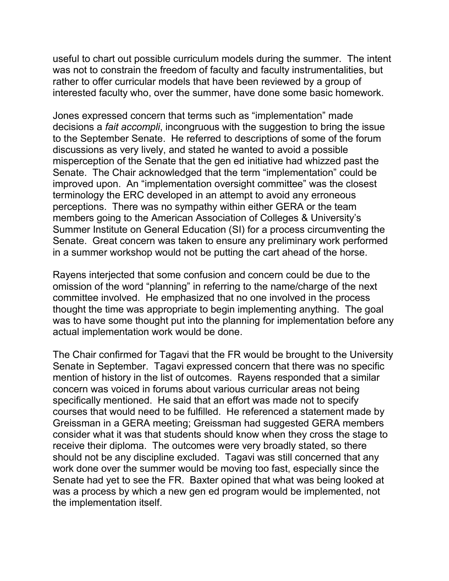useful to chart out possible curriculum models during the summer. The intent was not to constrain the freedom of faculty and faculty instrumentalities, but rather to offer curricular models that have been reviewed by a group of interested faculty who, over the summer, have done some basic homework.

Jones expressed concern that terms such as "implementation" made decisions a *fait accompli*, incongruous with the suggestion to bring the issue to the September Senate. He referred to descriptions of some of the forum discussions as very lively, and stated he wanted to avoid a possible misperception of the Senate that the gen ed initiative had whizzed past the Senate. The Chair acknowledged that the term "implementation" could be improved upon. An "implementation oversight committee" was the closest terminology the ERC developed in an attempt to avoid any erroneous perceptions. There was no sympathy within either GERA or the team members going to the American Association of Colleges & University's Summer Institute on General Education (SI) for a process circumventing the Senate. Great concern was taken to ensure any preliminary work performed in a summer workshop would not be putting the cart ahead of the horse.

Rayens interjected that some confusion and concern could be due to the omission of the word "planning" in referring to the name/charge of the next committee involved. He emphasized that no one involved in the process thought the time was appropriate to begin implementing anything. The goal was to have some thought put into the planning for implementation before any actual implementation work would be done.

The Chair confirmed for Tagavi that the FR would be brought to the University Senate in September. Tagavi expressed concern that there was no specific mention of history in the list of outcomes. Rayens responded that a similar concern was voiced in forums about various curricular areas not being specifically mentioned. He said that an effort was made not to specify courses that would need to be fulfilled. He referenced a statement made by Greissman in a GERA meeting; Greissman had suggested GERA members consider what it was that students should know when they cross the stage to receive their diploma. The outcomes were very broadly stated, so there should not be any discipline excluded. Tagavi was still concerned that any work done over the summer would be moving too fast, especially since the Senate had yet to see the FR. Baxter opined that what was being looked at was a process by which a new gen ed program would be implemented, not the implementation itself.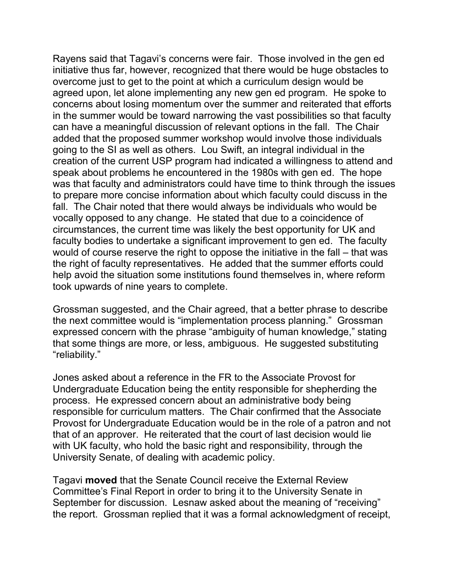Rayens said that Tagavi's concerns were fair. Those involved in the gen ed initiative thus far, however, recognized that there would be huge obstacles to overcome just to get to the point at which a curriculum design would be agreed upon, let alone implementing any new gen ed program. He spoke to concerns about losing momentum over the summer and reiterated that efforts in the summer would be toward narrowing the vast possibilities so that faculty can have a meaningful discussion of relevant options in the fall. The Chair added that the proposed summer workshop would involve those individuals going to the SI as well as others. Lou Swift, an integral individual in the creation of the current USP program had indicated a willingness to attend and speak about problems he encountered in the 1980s with gen ed. The hope was that faculty and administrators could have time to think through the issues to prepare more concise information about which faculty could discuss in the fall. The Chair noted that there would always be individuals who would be vocally opposed to any change. He stated that due to a coincidence of circumstances, the current time was likely the best opportunity for UK and faculty bodies to undertake a significant improvement to gen ed. The faculty would of course reserve the right to oppose the initiative in the fall – that was the right of faculty representatives. He added that the summer efforts could help avoid the situation some institutions found themselves in, where reform took upwards of nine years to complete.

Grossman suggested, and the Chair agreed, that a better phrase to describe the next committee would is "implementation process planning." Grossman expressed concern with the phrase "ambiguity of human knowledge," stating that some things are more, or less, ambiguous. He suggested substituting "reliability."

Jones asked about a reference in the FR to the Associate Provost for Undergraduate Education being the entity responsible for shepherding the process. He expressed concern about an administrative body being responsible for curriculum matters. The Chair confirmed that the Associate Provost for Undergraduate Education would be in the role of a patron and not that of an approver. He reiterated that the court of last decision would lie with UK faculty, who hold the basic right and responsibility, through the University Senate, of dealing with academic policy.

Tagavi **moved** that the Senate Council receive the External Review Committee's Final Report in order to bring it to the University Senate in September for discussion. Lesnaw asked about the meaning of "receiving" the report. Grossman replied that it was a formal acknowledgment of receipt,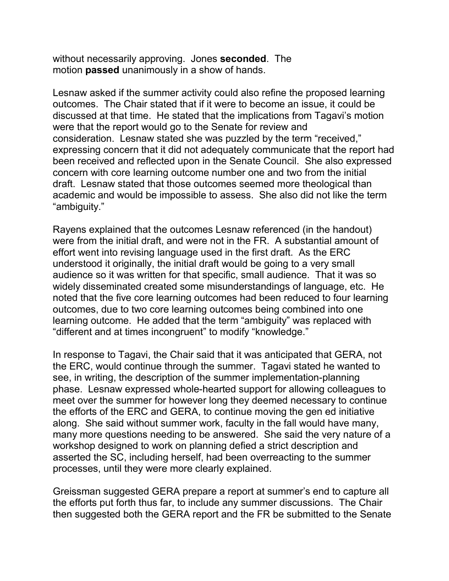without necessarily approving. Jones **seconded**. The motion **passed** unanimously in a show of hands.

Lesnaw asked if the summer activity could also refine the proposed learning outcomes. The Chair stated that if it were to become an issue, it could be discussed at that time. He stated that the implications from Tagavi's motion were that the report would go to the Senate for review and consideration. Lesnaw stated she was puzzled by the term "received," expressing concern that it did not adequately communicate that the report had been received and reflected upon in the Senate Council. She also expressed concern with core learning outcome number one and two from the initial draft. Lesnaw stated that those outcomes seemed more theological than academic and would be impossible to assess. She also did not like the term "ambiguity."

Rayens explained that the outcomes Lesnaw referenced (in the handout) were from the initial draft, and were not in the FR. A substantial amount of effort went into revising language used in the first draft. As the ERC understood it originally, the initial draft would be going to a very small audience so it was written for that specific, small audience. That it was so widely disseminated created some misunderstandings of language, etc. He noted that the five core learning outcomes had been reduced to four learning outcomes, due to two core learning outcomes being combined into one learning outcome. He added that the term "ambiguity" was replaced with "different and at times incongruent" to modify "knowledge."

In response to Tagavi, the Chair said that it was anticipated that GERA, not the ERC, would continue through the summer. Tagavi stated he wanted to see, in writing, the description of the summer implementation-planning phase. Lesnaw expressed whole-hearted support for allowing colleagues to meet over the summer for however long they deemed necessary to continue the efforts of the ERC and GERA, to continue moving the gen ed initiative along. She said without summer work, faculty in the fall would have many, many more questions needing to be answered. She said the very nature of a workshop designed to work on planning defied a strict description and asserted the SC, including herself, had been overreacting to the summer processes, until they were more clearly explained.

Greissman suggested GERA prepare a report at summer's end to capture all the efforts put forth thus far, to include any summer discussions. The Chair then suggested both the GERA report and the FR be submitted to the Senate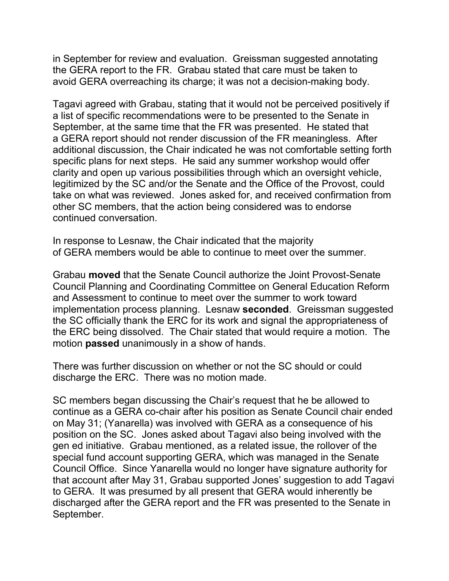in September for review and evaluation. Greissman suggested annotating the GERA report to the FR. Grabau stated that care must be taken to avoid GERA overreaching its charge; it was not a decision-making body.

Tagavi agreed with Grabau, stating that it would not be perceived positively if a list of specific recommendations were to be presented to the Senate in September, at the same time that the FR was presented. He stated that a GERA report should not render discussion of the FR meaningless. After additional discussion, the Chair indicated he was not comfortable setting forth specific plans for next steps. He said any summer workshop would offer clarity and open up various possibilities through which an oversight vehicle, legitimized by the SC and/or the Senate and the Office of the Provost, could take on what was reviewed. Jones asked for, and received confirmation from other SC members, that the action being considered was to endorse continued conversation.

In response to Lesnaw, the Chair indicated that the majority of GERA members would be able to continue to meet over the summer.

Grabau **moved** that the Senate Council authorize the Joint Provost-Senate Council Planning and Coordinating Committee on General Education Reform and Assessment to continue to meet over the summer to work toward implementation process planning. Lesnaw **seconded**. Greissman suggested the SC officially thank the ERC for its work and signal the appropriateness of the ERC being dissolved. The Chair stated that would require a motion. The motion **passed** unanimously in a show of hands.

There was further discussion on whether or not the SC should or could discharge the ERC. There was no motion made.

SC members began discussing the Chair's request that he be allowed to continue as a GERA co-chair after his position as Senate Council chair ended on May 31; (Yanarella) was involved with GERA as a consequence of his position on the SC. Jones asked about Tagavi also being involved with the gen ed initiative. Grabau mentioned, as a related issue, the rollover of the special fund account supporting GERA, which was managed in the Senate Council Office. Since Yanarella would no longer have signature authority for that account after May 31, Grabau supported Jones' suggestion to add Tagavi to GERA. It was presumed by all present that GERA would inherently be discharged after the GERA report and the FR was presented to the Senate in September.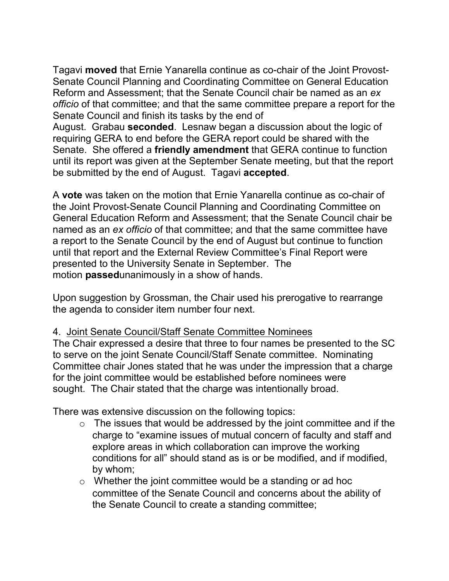Tagavi **moved** that Ernie Yanarella continue as co-chair of the Joint Provost-Senate Council Planning and Coordinating Committee on General Education Reform and Assessment; that the Senate Council chair be named as an *ex officio* of that committee; and that the same committee prepare a report for the Senate Council and finish its tasks by the end of

August. Grabau **seconded**. Lesnaw began a discussion about the logic of requiring GERA to end before the GERA report could be shared with the Senate. She offered a **friendly amendment** that GERA continue to function until its report was given at the September Senate meeting, but that the report be submitted by the end of August. Tagavi **accepted**.

A **vote** was taken on the motion that Ernie Yanarella continue as co-chair of the Joint Provost-Senate Council Planning and Coordinating Committee on General Education Reform and Assessment; that the Senate Council chair be named as an *ex officio* of that committee; and that the same committee have a report to the Senate Council by the end of August but continue to function until that report and the External Review Committee's Final Report were presented to the University Senate in September. The motion **passed**unanimously in a show of hands.

Upon suggestion by Grossman, the Chair used his prerogative to rearrange the agenda to consider item number four next.

# 4. Joint Senate Council/Staff Senate Committee Nominees

The Chair expressed a desire that three to four names be presented to the SC to serve on the joint Senate Council/Staff Senate committee. Nominating Committee chair Jones stated that he was under the impression that a charge for the joint committee would be established before nominees were sought. The Chair stated that the charge was intentionally broad.

There was extensive discussion on the following topics:

- $\circ$  The issues that would be addressed by the joint committee and if the charge to "examine issues of mutual concern of faculty and staff and explore areas in which collaboration can improve the working conditions for all" should stand as is or be modified, and if modified, by whom;
- o Whether the joint committee would be a standing or ad hoc committee of the Senate Council and concerns about the ability of the Senate Council to create a standing committee;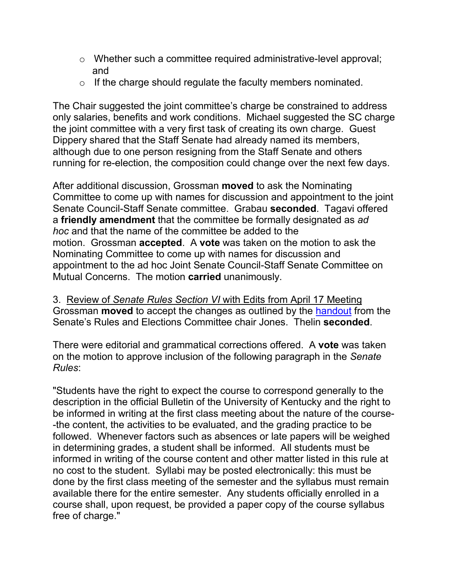- o Whether such a committee required administrative-level approval; and
- $\circ$  If the charge should regulate the faculty members nominated.

The Chair suggested the joint committee's charge be constrained to address only salaries, benefits and work conditions. Michael suggested the SC charge the joint committee with a very first task of creating its own charge. Guest Dippery shared that the Staff Senate had already named its members, although due to one person resigning from the Staff Senate and others running for re-election, the composition could change over the next few days.

After additional discussion, Grossman **moved** to ask the Nominating Committee to come up with names for discussion and appointment to the joint Senate Council-Staff Senate committee. Grabau **seconded**. Tagavi offered a **friendly amendment** that the committee be formally designated as *ad hoc* and that the name of the committee be added to the motion. Grossman **accepted**. A **vote** was taken on the motion to ask the Nominating Committee to come up with names for discussion and appointment to the ad hoc Joint Senate Council-Staff Senate Committee on Mutual Concerns. The motion **carried** unanimously.

3. Review of *Senate Rules Section VI* with Edits from April 17 Meeting Grossman **moved** to accept the changes as outlined by the [handout](http://www.uky.edu/USC/New/SCAgendas/20060515/FW%20syllabus%20rule.pdf) from the Senate's Rules and Elections Committee chair Jones. Thelin **seconded**.

There were editorial and grammatical corrections offered. A **vote** was taken on the motion to approve inclusion of the following paragraph in the *Senate Rules*:

"Students have the right to expect the course to correspond generally to the description in the official Bulletin of the University of Kentucky and the right to be informed in writing at the first class meeting about the nature of the course- -the content, the activities to be evaluated, and the grading practice to be followed. Whenever factors such as absences or late papers will be weighed in determining grades, a student shall be informed. All students must be informed in writing of the course content and other matter listed in this rule at no cost to the student. Syllabi may be posted electronically: this must be done by the first class meeting of the semester and the syllabus must remain available there for the entire semester. Any students officially enrolled in a course shall, upon request, be provided a paper copy of the course syllabus free of charge."